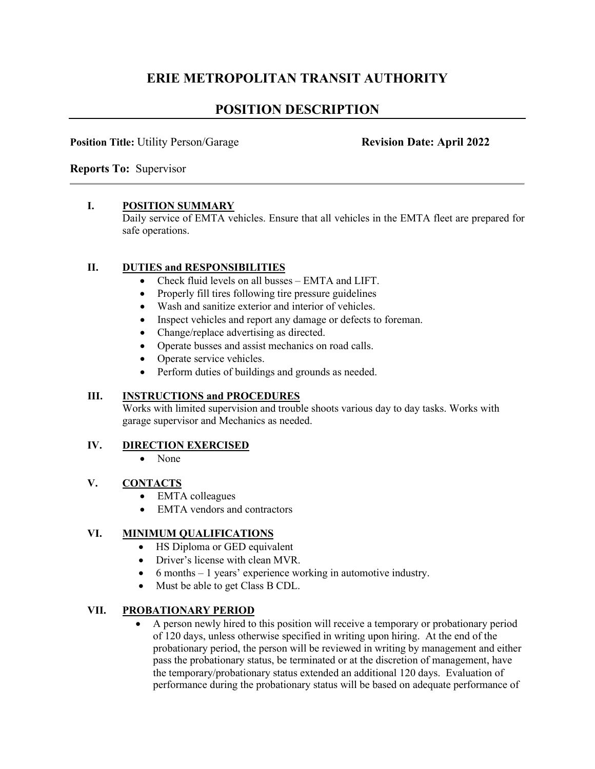# **ERIE METROPOLITAN TRANSIT AUTHORITY**

# **POSITION DESCRIPTION**

#### **Position Title: Utility Person/Garage <b>Revision Date: April 2022**

**Reports To:** Supervisor

#### **I. POSITION SUMMARY**

Daily service of EMTA vehicles. Ensure that all vehicles in the EMTA fleet are prepared for safe operations.

## **II. DUTIES and RESPONSIBILITIES**

- Check fluid levels on all busses EMTA and LIFT.
- Properly fill tires following tire pressure guidelines
- Wash and sanitize exterior and interior of vehicles.
- Inspect vehicles and report any damage or defects to foreman.
- Change/replace advertising as directed.
- Operate busses and assist mechanics on road calls.
- Operate service vehicles.
- Perform duties of buildings and grounds as needed.

## **III. INSTRUCTIONS and PROCEDURES**

Works with limited supervision and trouble shoots various day to day tasks. Works with garage supervisor and Mechanics as needed.

#### **IV. DIRECTION EXERCISED**

• None

## **V. CONTACTS**

- EMTA colleagues
- EMTA vendors and contractors

## **VI. MINIMUM QUALIFICATIONS**

- HS Diploma or GED equivalent
- Driver's license with clean MVR.
- 6 months 1 years' experience working in automotive industry.
- Must be able to get Class B CDL.

#### **VII. PROBATIONARY PERIOD**

• A person newly hired to this position will receive a temporary or probationary period of 120 days, unless otherwise specified in writing upon hiring. At the end of the probationary period, the person will be reviewed in writing by management and either pass the probationary status, be terminated or at the discretion of management, have the temporary/probationary status extended an additional 120 days. Evaluation of performance during the probationary status will be based on adequate performance of